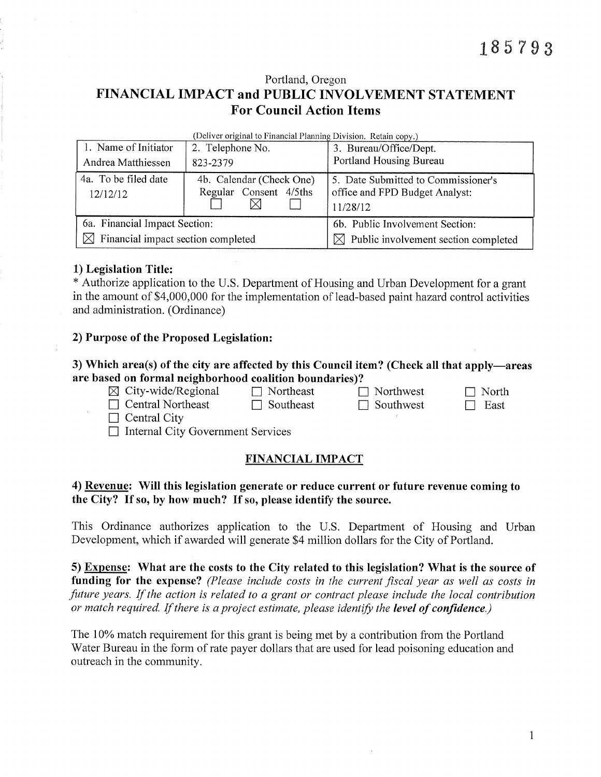Portland, Oregon

# FINANCIAL IMPACT and PUBLIC INVOLVEMENT STATEMENT **For Council Action Items**

|  |  | (Deliver original to Financial Planning Division. Retain copy.) |  |
|--|--|-----------------------------------------------------------------|--|
|  |  |                                                                 |  |

| 1. Name of Initiator                           | 2. Telephone No.         | 3. Bureau/Office/Dept.                           |  |  |
|------------------------------------------------|--------------------------|--------------------------------------------------|--|--|
| Andrea Matthiessen                             | 823-2379                 | Portland Housing Bureau                          |  |  |
| 4a. To be filed date                           | 4b. Calendar (Check One) | 5. Date Submitted to Commissioner's              |  |  |
| 12/12/12                                       | Regular Consent 4/5ths   | office and FPD Budget Analyst:                   |  |  |
|                                                |                          | 11/28/12                                         |  |  |
| 6a. Financial Impact Section:                  |                          | 6b. Public Involvement Section:                  |  |  |
| $\boxtimes$ Financial impact section completed |                          | $\boxtimes$ Public involvement section completed |  |  |

## 1) Legislation Title:

\* Authorize application to the U.S. Department of Housing and Urban Development for a grant in the amount of \$4,000,000 for the implementation of lead-based paint hazard control activities and administration. (Ordinance)

## 2) Purpose of the Proposed Legislation:

### 3) Which area(s) of the city are affected by this Council item? (Check all that apply—areas are based on formal neighborhood coalition boundaries)?

 $\boxtimes$  City-wide/Regional  $\Box$  Northeast  $\Box$  Northwest  $\Box$  North  $\Box$  Central Northeast  $\Box$  Southeast  $\Box$  Southwest  $\Box$  East

 $\Box$  Central City

 $\Box$  Internal City Government Services

# **FINANCIAL IMPACT**

# 4) Revenue: Will this legislation generate or reduce current or future revenue coming to the City? If so, by how much? If so, please identify the source.

This Ordinance authorizes application to the U.S. Department of Housing and Urban Development, which if awarded will generate \$4 million dollars for the City of Portland.

5) Expense: What are the costs to the City related to this legislation? What is the source of funding for the expense? (Please include costs in the current fiscal year as well as costs in future years. If the action is related to a grant or contract please include the local contribution or match required. If there is a project estimate, please identify the level of confidence.)

The 10% match requirement for this grant is being met by a contribution from the Portland Water Bureau in the form of rate payer dollars that are used for lead poisoning education and outreach in the community.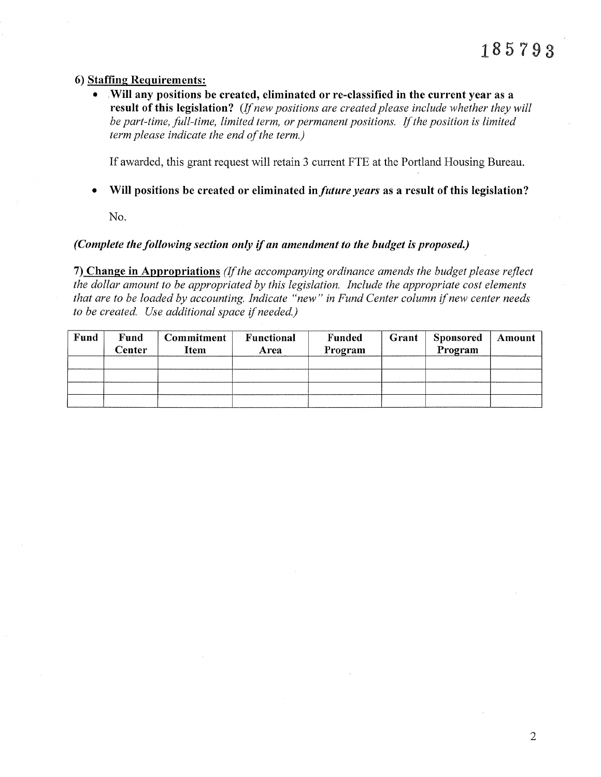#### 6) Staffing Requirements:

Will any positions be created, eliminated or re-classified in the current year as a result of this legislation? (If new positions are created please include whether they will be part-time, full-time, limited term, or permanent positions. If the position is limited term please indicate the end of the term.)

If awarded, this grant request will retain 3 current FTE at the Portland Housing Bureau.

Will positions be created or eliminated in *future years* as a result of this legislation?  $\bullet$ 

No.

#### (Complete the following section only if an amendment to the budget is proposed.)

7) Change in Appropriations (If the accompanying ordinance amends the budget please reflect the dollar amount to be appropriated by this legislation. Include the appropriate cost elements that are to be loaded by accounting. Indicate "new" in Fund Center column if new center needs to be created. Use additional space if needed.)

| Fund | Fund<br>Center | <b>Commitment</b><br>Item | Functional<br>Area | Funded<br>Program | Grant | <b>Sponsored</b><br>Program | Amount |
|------|----------------|---------------------------|--------------------|-------------------|-------|-----------------------------|--------|
|      |                |                           |                    |                   |       |                             |        |
|      |                |                           |                    |                   |       |                             |        |
|      |                |                           |                    |                   |       |                             |        |
|      |                |                           |                    |                   |       |                             |        |